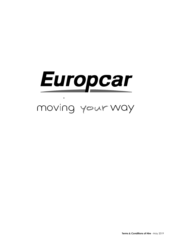# Europcar

## moving your way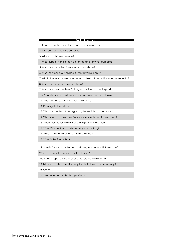#### **Table of contents**

- 1. To whom do the rental terms and conditions apply?
- 2. Who can rent and who can drive?
- 3. Where can I drive a vehicle?
- 4. What type of vehicle can be rented and for what purpose?
- 5. What are my obligations toward the vehicle?
- 6. What services are included if I rent a vehicle only?
- 7. What other ancillary services are available that are not included in my rental?
- 8. What is included in the price I pay?
- 9. What are the other fees / charges that I may have to pay?
- 10. What should I pay attention to when I pick up the vehicle?
- 11. What will happen when I return the vehicle?
- 12. Damage to the vehicle
- 13. What is expected of me regarding the vehicle maintenance?
- 14. What should I do in case of accident or mechanical breakdown?
- 15. When shall I receive my invoice and pay for the rental?
- 16. What if I want to cancel or modify my booking?
- 17. What if I want to extend my Hire Period?
- 18. What is the fuel policy?
- 19. How is Europcar protecting and using my personal information?
- 20. Are the vehicles equipped with a tracker?
- 21. What happens in case of dispute related to my rental?
- 22. Is there a code of conduct applicable to the car rental industry?
- 23. General
- 24. Insurance and protection provisions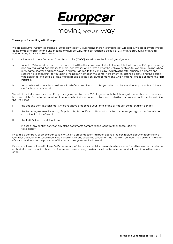

#### **Thank you for renting with Europcar**

We are Executive Trust Limited trading as Europcar Mobility Group Ireland (herein referred to as "Europcar"). We are a private limited company registered in Ireland under company number 22423 and our registered office is at 35 Northwood Court, Northwood Business Park, Santry, Dublin 9, Ireland.

In accordance with these Terms and Conditions of Hire ('**T&Cs**') we will have the following obligations:

- A. to rent a Vehicle (either a car or a van which will be the same as or similar to the vehicle that you specify in your booking) plus any requested Accessories (general accessories which form part of the Vehicle, such as, for example, locking wheel nuts, parcel shelves and boot covers, and items added to the Vehicle by us, such as booster cushion, child seats and satellite navigation units) to you (being the person named in the Rental Agreement (as defined below) and the person who signs it) for the period of time that is specified in the Rental Agreement and which shall not exceed 35 days (the "**Hire Period**").
- B. to provide certain ancillary services with all of our rentals and to offer you other ancillary services or products which are available at an extra cost.

The relationship between you and Europcar is governed by these T&Cs together with the following documents which, once you have signed the Rental Agreement, will form a legally binding contract between us and will govern your use of the Vehicle during the Hire Period:

- i. the booking confirmation email (where you have prebooked your rental online or through our reservation centres);
- ii. the Rental Agreement including, if applicable, its specific conditions which is the document you sign at the time of checkout or the first day of rental;
- iii. the Tariff Guide to additional costs;

In case of any conflict between any of the documents comprising the Contract then these T&Cs will take priority

If you are a company or other organisation for which a credit account has been opened the contractual documentsforming the Contract between us must be read in conjunction with any corporate agreement that may exist between the parties. In the event of any inconsistencies the provisions of the corporate agreement will prevail.

If any provisions contained in these T&Cs and/or any of the contractualdocumentslistedabovearefoundbyanycourtor relevant authority to be unlawful, invalid or unenforceable, the remaining provisions shall not be affected and will remain in full force and effect.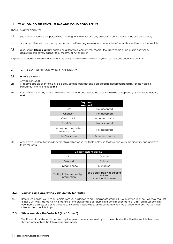#### **1. TO WHOM DO THE RENTAL TERMS AND CONDITIONS APPLY?**

These T&Cs will apply to:

- 1.1. you because you are the person who is paying for the rental and any associated costs and you may also be a driver;
- 1.2. any other driver who is expressly named on the Rental Agreement and who is therefore authorised to drive the Vehicle;
- 1.3. a driver (a "**Referred Driver**") named on a Rental Agreement that records the hirer's name as an insurer, bodyshop, dealership or recovery agency (eg., the RAC or AA or similar).

All persons named in the Rental agreement are jointly and severally liable for payment of sums due under the contract.

#### **2.** WHO CAN RENT AND WHO CAN DRIVE?

#### **2.1. Who can rent?**

- Any person who:
- **2.1.1.** islegally capable of entering into a legally binding contract and is prepared to accept responsibility for the Vehicle throughout the Hire Period; **and**
- 2.1.2. has the means to pay for the hire of the Vehicle and any associated costs that will be accepted by us (see table below); **and**

| Payment<br>method                         |                 |  |  |  |
|-------------------------------------------|-----------------|--|--|--|
| Cash                                      | Not accepted    |  |  |  |
| Cheques                                   | Not accepted    |  |  |  |
| Credit Cards                              | Accepted always |  |  |  |
| Debit Cards                               | Not accepted    |  |  |  |
| Accredited, prepaid or<br>preloaded cards | Not accepted    |  |  |  |
| <b>Hire Vouchers</b>                      | Accepted always |  |  |  |

2.1.3. provides valididentificationdocumentsasindicated in the table below so that we can verify their identity and approve them for rental.

| <b>Documents required</b>                       |                                                                 |  |  |  |
|-------------------------------------------------|-----------------------------------------------------------------|--|--|--|
| ID                                              | Optional                                                        |  |  |  |
| Passport                                        | Optional                                                        |  |  |  |
| Driving Licence                                 | Mandatory                                                       |  |  |  |
| 2 utility bills or return flight<br>information | see details below regarding<br>verifying<br>your identity below |  |  |  |

#### **2.2. Verifying and approving your identity for rental:**

2.2.1. Before we can let you hire a Vehicle from us, in addition to providing photographic ID (e.g. driving licence), we may request either 2 utility bills dated within 3 months of the pickup date or return flight confirmation details. Utility bills must confirm your home address as per your licence. If you can't provide such documents when we ask you for them, we won't be able to hire a vehicle to you.

#### **2.3. Who can drive the Vehicle? (the "Driver")**

The Driver of a Vehicle will be any physical person who is deemed by usto be authorised todrive the Vehicle because they comply with all the following requirements: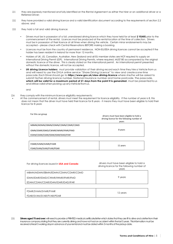- 2.3.1. they are expressly mentioned and fully identified on the Rental Agreement as either the hirer or an additional driver or a Referred Driver;
- 2.3.2. they have provided a valid driving licence and a valid identification document according to the requirements of section 2.2 above; and
- 2.3.3. they hold a full and valid driving licence:
	- Drivers must be in possession of a full, unendorsed driving licence which they have held for at least **2 YEARS** prior to the commencement of the rental. Licences must be produced at the rental location at the time of collection. Drivers must be in possession of their licence at all times when driving the vehicle. Certain minor endorsements may be accepted – please check with Central Reservations BEFORE making a booking.
	- Licences must be from the country of permanent residence. NON-EU/EEA driving licences cannot be accepted if the holder has been resident in Ireland for more than 12 months.
	- Holders of UK, US, Canadian, Australian, New Zealand and all EU member states are NOT required to supply an International Driving Permit (IDP). International Driving Permits, where required, MUST BE accompanied by the original domestic licence of the driver. This is clearly stated on the international permit. An International permit presented without the domestic licence, will not be accepted.
	- **UK driving Licence holders:** must provide validation of their driving record each time they hire a Vehicle from us and will need to use the DVLA online service "Share Driving Licence" to view and createa one-time passcode. Each Drivershould go to **https:/[/www.gov.uk/view-driving-licence](http://www.gov.uk/view-driving-licence)** where she/he will be asked to submit his/her driving licence number, National Insurance number and home postcode. The passcode, **which will be valid for a maximum period of 21 days from the point it is generated**, must be presentedto us and still be valid when picking up any Vehicle from us.

and

2.3.4. they comply with the minimum licence eligibility requirements:

• At the commencement of rental, drivers must meet the requirement for licence eligibility. If the number of years is 8, this does not mean that the driver must have held their licence for 8 years - it means they must have been eligible to hold their licence for 8 years

| For this car group                 | drivers must have been eligible to hold a<br>driving licence for the following number of<br>years |
|------------------------------------|---------------------------------------------------------------------------------------------------|
| MBMN/MDMN/EBMN/EDMN/CDMN/CDMR/CDMD |                                                                                                   |
| IDMN/IDMR/IDMD/CWMR/IWMR/IFMR/IFMD | 8 years                                                                                           |
| EDAN/CDAN/CDAR/IDAN/IDAR/IDAD/IFAR |                                                                                                   |
|                                    |                                                                                                   |
| FDMR/SVMN/SVMR/FVMR                | 11 years                                                                                          |
| FDAR/SVAN/SVAR/FVAR/PDAR           |                                                                                                   |

| For driving licences issued in <b>USA and Canada</b> | drivers must have been eligible to hold a<br>driving licence for the following number of<br>vears |
|------------------------------------------------------|---------------------------------------------------------------------------------------------------|
| MBMN/MDMN/EBMN/EDMN/CDMN/CDMR/CDMD                   |                                                                                                   |
| IDMN/IDMR/IDMD/CWMR/IWMR/IFMR/IFMD                   | 9 years                                                                                           |
| EDAN/CDAN/CDAR/IDAN/IDAR/IDAD/IFAR                   |                                                                                                   |
|                                                      |                                                                                                   |
|                                                      |                                                                                                   |

| FDMR/SVMN/SVMR/FVMR      | 12 years |
|--------------------------|----------|
| FDAR/SVAN/SVAR/FVAR/PDAR |          |

<sup>2.3.5.</sup> **Drivers aged 75 and over:**will need to provide a PRINTED medical certificate/letter which states that they are fit to drive and a letter from their insurance company stating that they are currently driving and have not had an accident within the last 5 years. This information must be received at least 5 working days in advance of your rental and must be dated within 3 months of the pickup date.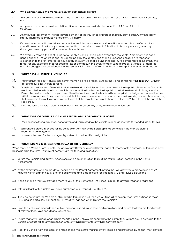#### **2.4. Who cannot drive the Vehicle? (an 'unauthorised driver')**

- 2.4.1. Any person that is **not** expressly mentioned or identified on the Rental Agreement as a Driver (see section 2.3 above); and
- 2.4.2. Any person who cannot provide valid identification documents as indicated in sections 2.1.3 and 2.2 and 2.3 above.
- 2.4.3. An unauthorised driver will not be covered by any of the insurance or protection products we offer. Only third-party liability insurance (compulsoryprotection) will apply.
- 2.4. If you allow an unauthorised driver to drive the Vehicle, then you are considered to be in breach of the Contract, and you will be responsible for any consequences that may arise as a result. This will include compensating us for any damage causedby you and/or the unauthorised driver.
- 2.4.5. We expressly reserve the right to refuse to supply a vehicle, even in the event that the Rental Agreement has been signed and the Hire Charges and/or Deposit paid by the Renter, and shall be under no obligation to tender an explanation to the renter for so doing. In such an event we shall be under no liability to compensate or indemnify the renter for any expenses or consequential loss or damage. In the event of us refusing to supply a vehicle, all deposits and hire charges shall be refunded to the renter within 24 hours of such notification, except in the event of damage.

#### **3. WHERE CAN I DRIVE A VEHICLE?**

- 3.1. You must not take our Vehicle (nor permit the Vehicle to be taken) outside the island of Ireland ("**the Territory**") without obtaining our prior written consent.
- 3.2. Travel from the Republic of Ireland into Northern Ireland: all Vehicles retained on our fleet in the Republic of Ireland are fitted with electronic devices which tell us if a Vehicle has crossed the border from the Republic into Northern Ireland. If, during your Hire Period, the device confirms that you have driven the Vehicle across the border without our prior knowledge and consent then we will let you know immediately by email or text that the device has alerted us to your border crossing and give you advance warning that we reserve the right to charge you for the cost of the Cross-Border Travel when you return the Vehicle to us at the end of the Hire Period.
- $3.3.$  If you do take a Vehicle abroad without our permission, a penalty of  $65,000$  will apply to your rental.

#### **4. WHAT TYPE OF VEHICLE CAN BE RENTED AND FOR WHAT PURPOSE?**

You can rent either a passenger car or a van and you must drive the Vehicle in accordance with its intended use as follows:

- 4.1. passenger carsare intended forthe carriage of varying numbers of people (depending on the manufacturer's recommendations);and
- 4.2. vans may be used for the carriage of goods up to the identified weight limit

#### **5. WHATARE MY OBLIGATIONS TOWARD THE VEHICLE?**

When renting a Vehicle from us both you and/or any Driver or Referred Driver (each of whom, for the purposes of this section, will be included in the term 'you') must comply with the following obligations:

- 5.1 Return the Vehicle and its keys, Accessories and documentation to us at the return station identified in the Rental Agreement;
- 5.2 by the expiry time and on the date specified on the Rental Agreement, noting that we allow you a grace period of 29 minutes (within branch hours) after the expiry time and date (please see sections 5.12 and 11.1.5 below); and
- 5.3 in the condition that we provided them to you at the start of the Hire Period, subject to any fair wear and tear.; and
- 5.4 with a full tank of fuel unless you have purchased our 'Prepaid Fuel Option'.
- 5.5 If you do not return the Vehicle as stipulated in this section 5.1 then we will take all necessary measures outlined in these T&Cs and, in particular, in its section 11 (What will happen when I return the Vehicle?).
- 5.6 Drive the Vehicle in accordance with all applicable road traffic laws and regulations and ensure that you are familiar with all relevant local laws and driving regulations.
- 5.7 Ensure that any luggage or goods transported in the Vehicle are secured to the extent they will not cause damage to the Vehicle or cause risk to any passengers or to any third party or to any third-party property.
- 5.8 Treat the Vehicle with due care and respect and make sure that it is always locked and protected by its anti- theft devices

#### 6 **Terms and Conditions of Hire**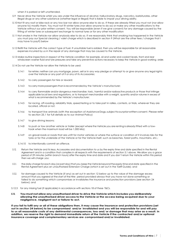when it is parked or left unattended.

- 5.9 Never drive the Vehicle whilst you are under the influence of alcohol, hallucinatory drugs, narcotics, barbiturates, other illegal drugs or any other substance (whether legal or illegal) that is liable to impair your driving ability.
- 5.10 Not fit any roof or bike rack or any tow bar nor allow anyone else to do so. If these are already fitted you must not (nor allow anyone to) modify them. You must not fit winter tyres (nor allow anyone to do so) or make any other modifications to the Vehicle without our prior written consent. You will be responsible (even if we give consent) for any damage caused by the fitting of winter tyres or subsequent exchange to normal tyres or for any other modification
- 5.11 Not smoke in the Vehicle nor allow anybody else to do so. If we reasonably think that smoking has happened in the Vehicle you must pay our Special cleaning / valet charge which is described in section 9 (What are the other fees / charges that I may have to pay?) below
- 5.12 Refill the Vehicle with the correct type of fuel. If unsuitable fuel is added, then you will be responsible for all reasonable expenses incurred by us in the repair of any damage that may be caused to the Vehicle.
- 5.13 Make routine inspections in respect of the Vehicle condition: for example, oil and water and coolant levels, front and rear windscreen washer fluid and tyre pressures and take any preventive actions necessary to keep the Vehicle in good working order.
- 5.14 Do not use the Vehicle nor allow the Vehicle to be used:
	- 5.14.1 for rehire; neither can you mortgage, pawn, sell or in any way pledge or attempt to or give anyone any legal rights over the Vehicle or any part of it or any of its Accessories;
	- 5.14.2 to carry passengers for hire or reward;
	- 5.14.3 to carry more passengersthan isrecommended by the Vehicle's manufacturer;
	- 5.14.4 to carry flammable and/or dangerous merchandise; toxic, harmful and/or radioactive products or those that infringe applicable local laws and regulations, or to transport merchandise with a weight, quantity and/or volume in excess of what is recommended by the Vehicle's manufacturer;
	- 5.14.5 for racing, off-roading, reliability trials, speedtesting or to take part in rallies, contests, or trials, wherever they are located, official or not;
	- 5.14.6 to transport live animals (with the exception of AssistanceDogs,subjecttoourpriorwrittenconsent. Please refer to section 25.1 for full details as to our Animal Policy)
	- 5.14.7 to give driving lessons;
	- 5.14.8 to push or tow another vehicle or trailer (except where the Vehicle you are renting is already fitted with a towhook when the maximum load will be 1,000 kilo);
	- 5.14.9 on gravel roads or roads that are unfit for motor vehicles or where the surface or condition of it involves risks for the tyres or for the underside of the Vehicle or for the Vehicle itself, such as beaches, forest paths, mountains, etc.;
	- 5.14.10 to intentionally commit an offence.
- 5.12. Return the Vehicle and its keys, Accessories and documentation to us by the expiry time and date specified in the Rental Agreement and in a condition that complies in all respects with the requirements of section 5.1 above. We allow you a grace period of 29 minutes (within branch hours) after the expiry time and date and if you don't return the Vehicle within this period then we will charge you:
- 5.12.1. the daily charge for each day (or part day) that you keep the Vehicle beyond the expiry time and date specified in the Rental Agreement plus an unauthorised Extension Charge (which is set out in the Tariff Guide); and
- 5.12.2. for damage caused to the Vehicle (if any) as set out in section 12 below up to the value of the damage excess amount that you agreed at the start of the Hire period provided always that you have not done something or failed to do something which compromises or invalidates the insurance and protection provisions (see section 24 below); and
- 5.12.3 for any missing fuel (if applicable) in accordance with sections 18 of these T&Cs.
- **5.13. You must not allow any unauthorised driver to drive the Vehicle which includes you deliberately allowing the unauthorised driver access to the Vehicle or the access being acquired due to your negligence, negligent act or failure to act.**

**If you fail to fulfil any or all of these obligations then, it may cause the insurance and protection provisions (set out in section 24 below) to be compromised and/or invalidated and you will be responsible for and will pay to us all reasonable costs of any detrimental consequences, loss and/ or damage that may arise as a result. In addition, we reserve the right to demand immediate return of the Vehicle if the contracted and/or optional insurance coverage and complementary services are compromised and/or invalidated.**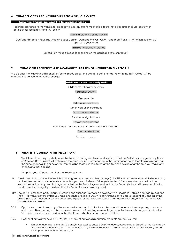#### **6. WHAT SERVICES ARE INCLUDED IF I RENT A VEHICLE ONLY?**

#### **Basic hire charge includes the following services**

Technical assistance to the Vehicle for breakdown recovery due to mechanical faults (not driver error or abuse) see further details under sections 8.3 and 14.1 below)

#### The initial cleaning of the Vehicle

Our Basic Protection Package which includes Collision Damage Waiver ('CDW') and Theft Waiver ('TW') unless section 9.2 applies to your rental

#### Thirdpartyliabilityinsurance

Limited / Unlimited Mileage (depending on the applicable rate or product)

#### **7. WHAT OTHER SERVICES ARE AVAILABLE THATARE NOT INCLUDED IN MY RENTAL?**

We do offer the following additional services or products but the cost for each one (as shown in the Tariff Guide) will be charged in addition to the rental charge:

#### **Additional services andproducts**

Child seats & Booster cushions

Additional Driver(s)

One way hire Additional rental days Other Protection Packages Out of hours collection Satellite Navigationunits

Delivery and collection

Roadside Assistance Plus & Roadside Assistance Express

Cross-Border Travel

Vehicle upgrade

#### **8. WHAT IS INCLUDED IN THE PRICE I PAY?**

The information you provide to us at the time of booking (such as the duration of the Hire Period or your age or any Driver or Referred Driver's age) will determine the price you pay. Any change to that information could therefore also mean that theprice changes. The price of your rental will be those prices in force at the time of booking or at the time you make any changes to that booking.

The price you will pay comprises the following items:

- 8.1 The daily rental charge for the Vehicle for the agreed number of calendar days (this will include the standard inclusive ancillary services (seesection 6 above for details)) unless you are a Referred Driver (see section 1.3 above) when you will not be responsible for the daily rental charge recorded on the Rental Agreement for the Hire Period (but youwill be responsible for the daily rental charge if you extend the Hire Period for your own purposes).
- 8.2 The cost of both third party liability insurance andour Basic Protection package which includes Collision damage (CDW) and theft (TW) waiver covers (unless you have chosen to provide your own fleet insurance or you are a resident of Canada or the United States of America and have purchased a product that excludescollisiondamage waiverand/ortheft waiver covers (see section 9.2 below).
- 8.2.1 If you haven't purchased any of the excess reduction products that we offer, you will be responsible for paying an amount up to thecollision damage waiver excessshown on the Rental Agreement together with all relevant charges each time the Vehicle is damaged or stolen during the Hire Period whether or not you were at fault.
- 8.2.2 Neither of our waiver covers (CDW / TW) nor any of our excess reduction products protects you for:
	- loss of, or damage to, the Vehicle and/or Accessories caused by Driver abuse, negligence or breach of the Contract. In these circumstances you will be responsible to pay the sums set out in section 12 below in full and your liability will not be capped at the Excess amount; or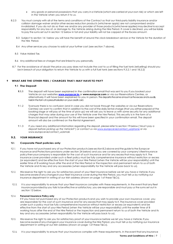- any goods or personal possessions that you carry in a Vehicle (which are carried at your own risk) or which are left in the Vehicle when you return it to us.
- 8.2.3 You must comply with all of the terms and conditions of the Contract so that our third-party liability insurance and/or collision damage waiver and/or other excess reduction products (whichever apply) are not compromised and/or invalidated. If you do not do so then we and/or any provider of those products (whicheverapplies) may decline to accept responsibility for any loss of, or damage to, the Vehicle arising during the Hire Period. If cover is declined, you will be liable to pay the sums set out in section 12 below in full and your liability will not be capped at the Excess amount.
	- 8.3 Subject to section 14.1 below you will have the benefit of around the clock breakdown service or the Vehicle for the duration of the Hire Period.
	- 8.4 Any other services you choose to add at your further cost (see section 7 above).
	- 8.5 Value Added Tax.
	- 8.6 Any additional fees or charges that are linked to you personally.
- 8.7 For the avoidance of doubt the price you pay does not include the cost to us of filling the fuel tank (refuelling) should you be in breach of your obligation to return the Vehicle to us with a full fuel tank (see sections 9.3.2.1 and 18.2.2)

#### **9 WHAT ARE THE OTHER FEES / CHARGES THAT I MAY HAVE TO PAY?**

#### **9.1 The Deposit**

- **9.1.1** The deposit will have been explained in the confirmation email that was sent to you if you booked your Vehicle on our websites **www.europcar.ie** or **[www.europcar.com](http://www.europcar.com/)** or via our Reservations Centres, or alternatively it will have been explained to you in person. The deposit is the same amount as the excess and is usually held in the form of a preauthorisation on your credit card.
- 9.1.2 To ensure there is no confusion (and in case you did not book through the websites or via our Reservations Centres) we want to confirm that in addition to the cost of the daily rental charge (that you either prepaid at the booking stage or will pay at the time of pick-up) we will ask you to leave us with some security for any additional charges that may arise during your use of the Vehicle over the hire Period. This security is in the form of a financial deposit and the amount for this will have been specified in your confirmation email. The deposit amount will also be confirmed on the Rental Agreement.
- 9.1.3 If you need any additional information regarding the deposit, please refer to section 19 below ('*Must I pay a deposit before picking up the Vehicle?*') or contact us vi[a www.europcar.ie/contact\\_us/phone](http://www.europcar.ie/contact_us/phone) or via www.europcar.ie/contact\_us/email.

#### **9.2. YOUR INSURANCE**

#### **9.2.1. Corporate Fleet policies only**

- 9.2.1.1. If you have not purchased any of our Protection products (see section 8.2 above and the guide to the Europcar Insurance and Protections provisions under section 24 below) and you are covered by your company'sfleetinsurance policythenyourcompany is responsible for the cost of such insurance and for any excess that may apply to it. The insurance cover provided under such a fleet policy must be fully comprehensive insurance without restriction or excess (or equivalent) and be effective from the start of your Hire Period (when the Vehicle will be your responsibility) until the earlier time of 8 working hours after the end of the Hire Period or the inspection and permanent return to us of both the Vehicle and its key and any accessories (when responsibility for the Vehicle will pass back to us).
- 9.2.1.2. We reserve the right to ask you for satisfactory proof of your fleet insurance before we let you have a Vehicle. If you become aware of any changes in your fleet insurance cover during the Hire Period, you must tell us by notifying our insurance department in writing at our Irish address (shown on page 1of these T&Cs).
- 9.2.1.3. It is your responsibility to ensure that your fleet insurance complies with these requirements. In the event that any fleet insurance provided by you fails to be effective or satisfactory, you are responsible and must pay us the sums set out in section 12 below.

#### 9.2.1.4. **Personal Insurance Policy only**

If If you have not purchased any of our Protection products and you wish to provide your own insurance cover, you are responsible for the cost of such insurance and for any excessthat may apply to it. The insurance cover provided under such a policy must be fully comprehensive insurance without restriction or excess (or equivalent) and be effective from the start of your Hire Period (when the Vehicle will be your responsibility) until the earlier time of 8 working hours after the end of the Hire Period or the inspection and permanent return to us of both the Vehicle and its key and any accessories (when responsibility for the Vehicle will pass back to us).

- 9.2.1.5. We reserve the right to ask you for satisfactory proof of your insurance before we let you have a Vehicle. If you become aware of any changes in your insurance cover during the Hire Period, you must tell us by notifying our insurance department in writing at our Irish address (shown on page 1of these T&Cs).
- 9.2.1.6. It is your responsibility to ensure that your insurance complies with these requirements. In the event that any insurance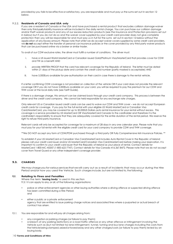provided by you fails to be effective or satisfactory, you are responsible and must pay us the sums set out in section 12 below.

#### 9.2.2. **Residents of Canada and USA only**

If you are a resident of Canada or the USA and have purchased a rental product that excludes collision damage waiver then only third-partyliability insurance will be included in the daily rental charge. You can purchase our collision damage and/or theft waiver products and any of our excess reduction products (see the Insurance and Protection provisions set out in below) but if you do not do so and the waiver cover supplied by your credit card provider does not give complete protection then you will be responsible for and must pay us in full for the sums set out in section 12 below without the application of any Excess amount. Please note that whilst we do accept waiver covers supplied by some credit card providers, we **do not** accept either the transfer of personal car insurance policies or the cover provided by any third party waiver products that can be purchased online via a broker or similar trader.

To avail of our CDW exclusive rates, the driver must fulfill a number of conditions. The driver must:

- i. have a US issued World MasterCard or Canadian issued Gold/Platinum Visa/MasterCard that provides cover for CDW and TW as a benefit AND
- ii. provide WRITTEN PROOF that the card has relevant coverage for the Republic of Ireland. The letter must be dated within 21 days of the pickup date and contain the credit card number (partly masked is acceptable) AND
- iii. have 5,000Euro available for pre-authorisation on their card in case there is damage to the rental vehicle.

If a letter confirming CDW coverage is not provided on collection of the vehicle OR if your card does not provide the relevant coverage OR if you do not have 5,000Euro available on your card, you will be required to pay the premium for our CDW and THW cover at the local daily rate (see Tariff Guide).

If there is a damage charge, this amount can be claimed back through your credit card company. This process is between the driver and the credit card company. We cannot be held responsible for any exchange rate charges.

Only relevant US or Canadian issued credit cards can be used to waive our CDW and THW cover – we do not accept European credit cards for coverage. If you pay for the full rental with your eligible US World MasterCard or Canadian Visa Card/MasterCard, you may be covered for up to 50,000US Dollars auto rental insurance for your rental without excess. This coverage is a service provided by US MasterCard OR Visa/MasterCard Canada to the cardholder and therefore it is the cardholder's responsibility to ensure that they are adequately covered for the entire duration of the rental period. We reserve the right to refuse third party insurance.

Relevant cards will only be accepted for coverage for a maximum of 28 days in any one calendar year. Please note that you must pay for your full rental with the eligible credit card for your card company to provide CDW and THW coverage.

\*\*We DO NOT accept any form of CDW/PDW purchased through a third party OR Fully Comprehensive Irish Insurance Policies. \*\*

To establish if your US MasterCard or Canadian Visa Card/MasterCard includes Auto Rental Cover in the Republic of Ireland please call your credit card issuer and/or US MasterCard/Canadian Visa Card/MasterCard before making your reservation. It is important to confirm to your credit card issuer that the Republic of Ireland as your place of rental. Contact details for MasterCard 1-800-MC-ASSIST (1-800-622-7747). Contact details for Visa Canada 416.367.8472. Please note that we do not accept cover from Travel Guard or any other independent coverage provider.

#### **9.3. CHARGES**

Wemaychargeyou forvariousservicesthat we will carry out as a result of incidents that may occur during the Hire Period and/or how you used the Vehicle. Such charges include, but are not limited to, the following:

#### **9.3.1. Relating to Fines and Penalties**

Where the term '**issuing body**' is used in this section 9.3.1 it can apply to any, or all, of the following organisations:

- police or other enforcement agencies or other issuing authorities where a driving offence or suspected driving offence has been committed during a Hire Period; and
- either a public or a private enforcement agency that are entitled to issue parking charge notices and associated fines where a purported or actual breach of contract has arisen.
- 9.3.1.1. You are responsible for and will pay all charges arising from:
	- any congestion or parking charges (or failure to pay them);
	- a breach of any parking restrictions or a road traffic offence or any other offence or infringement involving the Vehicle such as (but not limited to) lane infringement, tunnel, turning and bus lane charges including the costs from the Vehicle being clamped, seized or towed away and any other charges/costs (or failure to pay them) levied by an issuing body.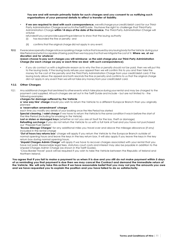#### **You are and will remain primarily liable for such charges and you consent to us notifying such organisations of your personal details to effect a transfer of liability.**

- **If we are required to deal with such correspondence,** wewillchargeyourcredit/debit card for our Third-Party Administration Charge asset out in the Tariff Guide. You have the right to challenge that Third-Party Administration Charge **within 14 days of the date of the invoice.** The Third-Party Administration Charge will onlybe
	- refundedifyoucanprovidesupportingevidence to show that the issuing authority (i) has rescinded the fine or penalty; and
	- (ii) confirms that the original charge did not apply in any event.
- **9.3.1.2.** If we receive a penalty charge notice or a parking charge notice that is issued by any issuing body for the Vehicle during your HirePeriodand whichiscapableofbeing paidthen wemaypay itsothatwemitigatethecostof it. **Where we, at our discretion and for whatever**

#### **reason choose to pay such charges you will reimburse us the said charge plus our Third-Party Administration Charge (for each charge we pay or each time we deal with such correspondence)**.

• *If you do contact us with a legitimate reason as to why the fine or penalty should not be paid,* then we will put this to the issuing body. If the issuing body refuses your appeal then we will confirm this to you and then take the money for the cost of the penalty and the Third Party Administration Charge from your credit/debit card. If the issuing body allows the appeal and both rescinds the fine or penalty and confirms to us that the original charge did not apply in any event then we will not take any money from your credit/debit card*.*

#### **9.3.2. Other Charges**

9.32.1. Any additional charges that are linked to other events which take place during your rental and may be charged to the payment card supplied. All such charges are set out in the Tariff Guide and include – but are not limited to - the following examples:

#### **charges for damage suffered by the Vehicle**

**a 'one way hire' charge** should you wish to return the Vehicle to a different Europcar Branch than you originally planned

#### **a 'reservation amendment' charge**

each time you modify any details of your booking once the Hire Period has started

**Special cleaning / valet charge** if we have to return the Vehicle to the same condition it was in before the start of the Hire Period (including for smoking in the Vehicle)

**Lost or stolen or damaged keys** (whether or not you are at fault for the loss, theft or damage) **Refuelling surcharge** if you do not return the Vehicle to us with a full tank of fuel and you have not purchased our 'Prepaid Fuel Option'

**'Excess Mileage Charges'** for any additional miles you travel over and above the mileage allowance (if any) included in the rental charge

**'Out of hours key returns box'** charge will apply if you return the Vehicle to the Europcar Branch outside of normal opening hours and leave the keys in the key return box. It will also apply if you leave the keys in the key return box during normal opening hours.

**'Unpaid Charges Admin Charge'** will apply if we have to recover charges associated with your rental that you have not paid. Reasonable legal fees, statutory court costs and interest may also be payable in addition to the Unpaid Charges Admin Charge (as shown in the Tariff Guide).

'Cross-Border Travel' pack will be required if you wish to take the Vehicle between the Republic of Ireland and Northern Ireland.

**You agree that if you fail to make a payment to us when it is due and you still do not make payment within 5 days of us reminding you that payment is due then we may cancel the Contract and demand the immediate return of the Vehicle. We will only take this action if we have reasonable belief that you may not pay the amounts you owe and we have requested you to explain the position and you have failed to do so satisfactorily.**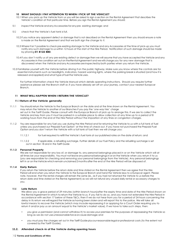#### **10 WHAT SHOULD I PAY ATTENTION TO WHEN I PICK UP THE VEHICLE?**

- 10.1 When you pick up the Vehicle from us you will be asked to sign a section on the Rental Agreement that describes the Vehicle's condition at that particular time. Before you sign the Rental Agreement you should;
- 10.1.1 inspect the Vehicle and any Accessories for any pre-existing damage; and
- 10.12 check that the Vehicle's fuel tank is full.
	- 10.2 If you notice any apparent defect or damage that is not described on the Rental Agreement then you should ensure a note is made on the Rental Agreement and that we both sign the change to it.
	- 10.3 Where it isn't possible to check pre-existing damage to the Vehicle and any Accessories at the time of pick-up you must notify any such damage to us within 12 hours of the start of the Hire Period. Notification of such damage should be made by phoning **01 8122 880**.
	- 10.4 If you don't notify us of any pre-existing defect or damage then we will assume that you have accepted the Vehicle and any Accessories in the condition set out on the Rental Agreement and we will charge you for any new damage that is discovered when the Vehicle and any Accessories are inspected by both parties when you return the Vehicle.
- 10.5 Familiarise yourself with the Vehicle before driving it on the public highway. Make sure you know where the controls are for essential instruments such as headlights, indicators, hazard warning lights, where the parking break is situated (and how it is released and applied) and what type of fuel the Vehicle uses.

For further information check the Vehicle Manual which details operating instructions. Should you require further assistance please ask the Branch staff or, if you have already set off on your journey, contact your nearest Europcar Branch.

#### **11 WHAT WILL HAPPEN WHEN I RETURN THE VEHICLE?**

#### **11.1 Return of the Vehicle generally**

- 11.1.1 You should return the Vehicle to the Europcar Branch on the date and at the time shown on the Rental Agreement. You may return the Vehicle to another of our Branches if you pay the '*one-way hire*' charge set out in the Tariff Guide. Please consult with the Europcar Branch of pick up to arrange this. If we are to collect the Vehicle and key from you it must be parked in a suitable place to allow collection at any time up to a period of 8 working hours from the end of the Hire Period without the imposition of any fines or congestion charges.
- 11.1.2 You are responsible for any fuel you use during the Hire Period and for returning the Vehicle to us with a full tank of fuel unless you purchased our Prepaid Fuel Option' at the time of check-out. If you have not purchased the Prepaid Fuel Option and you don't return the Vehicle with a full tank of fuel then we will charge you:
	- 11.1.2.1 for fuel required to refill the Vehicle's fuel tank at our published rates on the date of return; and
	- 11.1.2.2 if applicable, a refuelling surcharge. Further details of our Fuel Policy and the refuelling surcharge is set out in section 18 and in the Tariff Guide

#### **11.1.3 Personal Property**

We are not responsible for any loss of, or damage to, any personal belongings placed in or on the Vehicle which will at all times be your responsibility. You must not leave any personal belongingsin or on the Vehicle when you return it to us (you are responsible for checking and removing your personal belongings from the Vehicle). Any personal belongings left in or on the Vehicle which remain unclaimed 2 months after the end of the Hire Period will be disposed of.

#### **11.1.4 Early Return**

If you return the Vehicle before the return date and time stated on the Rental Agreement then we agree that the Hire Period will end when you return the Vehicle to the Europcar Branch and hand the Vehicle keys to a Europcar agent. Please note, however, that the rental charges will remain the same (ie., as if you had not returned the Vehicle to us before the return date and time stated on the Rental Agreement) as we will not refund any unused daily rental or accessory charges to you.

#### **11.1.5 Late Return**

We allow you a grace period of 29 minutes (within branch hours)after the expiry time and date of the Hire Period shown on the Rental Agreement in which to return the Vehicle to us. If you fail to do so, and you have not extended the Hire Period in accordance with section 17 below of these T&Cs, then if we do not hear from you for a period of 24 hours concerning the delay in its return we will regard the Vehicle as having been stolen and will report this to the police. We will take all lawful means to recover the Vehicle (which may include repossessing it or applying for a Court Order requiring you to return it and/or pay us an amount equal to the Vehicle's market value). If we have to take such steps, then:

- you give us permission (and cannot withdraw it) to access your premises for the purposes of repossessing the Vehicle so long as we do not use unreasonable force or cause damage; and
- you must pay the charges set out in the Tariff Guide plus our reasonable legal or professional costs (to the extent not covered by the Tariff Guide).

#### **11.2. Attended check-in of the Vehicle during opening hours**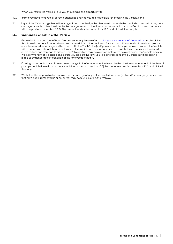When you return the Vehicle to us you should take the opportunity to:

- 11.2.1. ensure you have removed all of your personal belongings (you are responsible for checking the Vehicle); and
- 11.2.2. inspect the Vehicle together with our agent and countersign the check-in document which includesa record of any new damage (from that described on the Rental Agreement at the time of pick up or which you notified to us in accordance with the provisions of section 10.3). The procedure detailed in sections 12.3 and 12.6 will then apply.

#### **11.3. Unattended check-in of the Vehicle**

If you wish to use our "out of hours" returns service (please refer to https://www.europcar.je/hire-locations to check first that there is an out of hours returns service available at the particular Europcar location you wish to rent and please note there may be a charge for this asset out in the Tariff Guide) or if you are unable or you refuse to inspect the Vehicle with us when you return it then we will inspect the Vehicle on our own and you accept that you are responsible for all charges, fees and damage to or loss of the Vehicle which may have arisen before we have checked the Vehicle back in. We recommend that, if possible and before you drop off the keys, you take photographs of the Vehicle in its final parking place as evidence as to its condition at the time you returned it.

- 11.3.1. If, during our inspection, we discover new damage to the Vehicle (from that described on the Rental Agreement at the time of pick up or notified to us in accordance with the provisions of section 10.3) the procedure detailed in sections 12.5 and 12.6 will then apply.
- 11.3.2. We shall not be responsible for any loss, theft or damage of any nature, related to any objects and/or belongings and/or tools that have been transported in or on, or that may be found in or on, the Vehicle.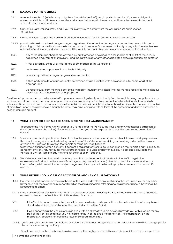#### **12 DAMAGE TO THE VEHICLE**

- 12.1 As set out in section 5 (*What are my obligations toward the Vehicle?*) and, in particular section 5.1, you are obliged to return your Vehicle and its keys, Accessories, or documentation to us in the same condition as they were at check out, subject to any fair wear and tear.
- 12.2 Our vehicles are working assets and, if you fail in any way to comply with the obligation set out in section 12.1 above:
- 12.2.1 we are entitled to repair the Vehicle at our convenience so that it is restored to this condition; and
- 12.2.2 you will be liable to pay the damage charges, regardless of whether the damage was caused by you or a third party (including a third party with whom you have had an accident or a Government, authority or organisation whether in or outside the Republic of Ireland which hasseized the Vehicleand/ or its keys, Accessories, or documentation), unless:
- 12.2.2.1. any of the damage charges are covered by our Protection packages as described in section 24 of these T&Cs *(Insurance and Protection Provisions)* and the Tariff Guide or any other associated excess reduction products; or
- 12.2.2. it was caused by our fault or negligence or our breach of this Contract; or
- 12.2.2.3. we have received a payment from a liable third party
- 12.2.3.1. where you pay the damage charges and subsequently:
- 12.2.3. a third party admits, or is subsequently determined by a relevant court to be responsible for some or all of the damage;and
- 12.2.3.3. we recover sums from the third-party or the third-party insurer; we will assess whether we have recovered more than our overall loss and reimburse you, as appropriate.

The driver will pay us on demand where loss to Europcar occurs resulting directly or indirectly from the vehicle being brought or driven on to or near any strand, beach, seafront, lane, pond, canal, river, water way or flood are and/or the vehicle being wholly or partially submerged in water, sand, mud, bog or any place either public or private in which the vehicle should subside or be rendered incapable of propulsion under its own power even though the renter may have complied with all terms of this agreement and have purchased a collision damage product.

#### **13 WHAT IS EXPECTED OF ME REGARDING THE VEHICLE MAINTENANCE?**

Throughout the Hire Period we will expect you to look after the Vehicle, the keys and any Accessories against loss or damage (however that arises). If you fail to do so then you will be responsible to pay the sums set out in section 12 above.

- 13.1 Save for customary inspections such as oil and water levels; coolant; windscreen washer fluid levels and tyre pressures that should be regularly checked during normal use of the Vehicle to keep it in good working order neither you nor anyone else is allowed to work on the Vehicle or make any modifications to it without our prior written consent. If consent is required for work to be undertaken on the Vehicle and we give such consent we will only refund you for the work upon receipt of a valid and lawful invoice. If damage is caused to the Vehicle you will be liable to pay the sums set out in section 12above.
- 13.2 The Vehicle is provided to you with tyres in a condition and number that meets with the traffic- legislation requirements of Ireland. In the event of damage to any one of the tyres (other than by ordinary wear and tear or latent defect) whilst we will immediately arrange to replace it you will be liable to pay the sums set out in section 12 above.

#### **14 WHAT SHOULD I DO IN CASE OF ACCIDENT OR MECHANICAL BREAKDOWN?**

- 14.1.1 If a warning light appears on the dashboard or the Vehicle develops any fault during the Hire Period you or any other Driver must call the telephone number stated on the rental agreement or the breakdown assistance number in the vehicle if the Europcar office is closed.
- 14.1.2 If the Vehicle breaks down or is involved in an accident/incident in during the Hire Period we will, as soon as possible, recover and repair the Vehicle so that it is rendered functional.
- 14.1.2.1. If the Vehicle cannot be repaired, we will (where possible) provide you with an alternative Vehicle ofan equivalent standard and size to the Vehicle for the remainder of the Hire Period.
- 14.1.2.2. If we cannot repair the Vehicle or provide you with an alternative vehicle, we will provide you with a refund for any part of the Rental Period that you have paid for but not received the benefit of. This is dependent on the breakdown/accident not being the result of Europcar driver error.
- 14.1.3. If, and only if, the breakdown or accident or incident is due to our negligence or willful default then we will not charge you for the recovery and/or repair (if any).

Should we consider that the breakdown is caused by the negligence or deliberate misuse or if loss of or damage to the

#### 14 **Terms and Conditions of Hire**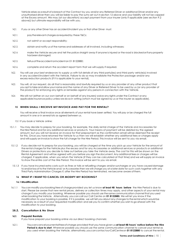Vehicle arises as a result of a breach of the Contract by you and/or any Referred Driver or additional Driver and/or any unauthorised driver then you will be liable to pay the sums set out insection 12 above and your liability will not be capped at the Excess amount. We may (at our discretion) accept payment from your insurer (only if applicable (see section 9.2 above)) but ultimate responsibility will be with you.

- 14.2.1. If you or any other Driver has an accident/incident you or that other Driver must:
- 14.2.1.1. pay the relevant charges as required by these T&Cs;
- 14.2.1.2. not admit or accept responsibility;
- 14.2.1.3. obtain and notify us of the names and addresses of all involved, including witnesses;
- 14.2.1.4. make the Vehicle secure and tell the police straight away if anyone is injured or the road is blockedorifanyproperty hasbeendamaged;
- 14.2.1.5. tellus of the accident or incident on 01 8122880;
- 14.2.1.6. complete and return the accident report form that we will supply if required.
- 14.2.2. You will use your best endeavors to supply us with full details of any third party(ies) and third party vehicle(s) involved in any accident/incident with the Vehicle. Failure to do so may invalidate the Protection package and/or any excess reduction products (if it is applicable to your rental).
- 14.2.3. You will, at our request, do all that is reasonably and lawfully required by us or any provider of any other product that you opt to take and allow your name and the name of any Driver or Referred Driver to be used by us (or any provider of the product) for enforcing any rights or remedies against any persons in connection with the Vehicle.
- 14.24. We will not (either on our own behalf or on behalf of any insurers) waive any rights under the Contract or any applicable insurance policy unless we do so in writing (which must be signed by us or the insurer as applicable).

#### **15 WHEN SHALL I RECEIVE MY INVOICE AND PAY FOR THE RENTAL?**

You will receive a final invoice once all elements of your rental have been settled. You will pay or be charged the full amount in one or in several lots as agreed between us.

- 15.1 If you book a Vehicle online:
- 15.1.1 You may decide to prepay for your booking, for example, the daily rental charge of the Vehicle and Accessories for the Hire Period and for any additional services or products. Your means of payment will be debited by the agreed amount, but you will not receive an invoice for that prepayment as the confirmation email will be deemed the receipt for this. Once you have returned the Vehicle to us then we will establish whether any additional fees or charges apply and will supply an invoice to show the full charge for the Hire Period. This invoice will be sent to you via email.
- 15.1.2 If you decide not to prepay for your booking, you will be charged at the time you pick up your Vehicle for the amount of the rental charges for the Vehicle plus the excess and for any Accessories or additional services or products or additional Drivers or protections you decide to take out before you take the Vehicle away. The cost for this will be shown on the Rental Agreement and will be agreed with you before you sign the document. Any additional fees or charges will be charged, if applicable, when you return the Vehicle (if they can be calculated at that time) and we will supply an invoice to show the entire cost of the Hire Period. This invoice will be sent to you via email.
- 15.1.3 If you have incurred extra costs such as fines or tolls or refuelling charges and/or surcharges or you have caused damage toand/orloss ofto the Vehicle and/ or Accessories then we will charge you at a later date for such costs together with any Third Party Administration Charges if, after the Hire Period has terminated, we become aware ofthem.

#### **16 WHAT IF I WANT TO CANCEL OR MODIFY MY BOOKING?**

#### **16.1 Modification**

16.1.1 Youcan modify yourbooking free of chargeprovided you let us know **at least 48 hours before** the Hire Period is due to start. Please be aware that new rental prices, delivery or collection times may apply, and other aspects of your rental may change if you modify your booking. Wherever possible you should use the same communication channelthat you used whenbookingthe Vehicle. Alternatively, you cancall our Call Centre on **01 8122880.** We will let you know if the modification to your booking is possible. If it is possible, we will tell you about any changesto the rental which would be necessary as a result of your requested modification and ask you to confirm whether you wish to go ahead with the modification to your booking.

#### **16.2. Cancellation & No Show**

#### **16.2.1. Prepaid Rentals**

If you have prepaid your booking online via our direct booking channels:

16.2.1.1. Youcancancelyourrentalfreeofcharge provided that you havegiven us **at least 48 hours' notice before the Hire Period is due to start**. Wherever possible you should use the same communication channel to cancel your rental as you used when booking the Vehicle, alternatively,youcancontactourCallCentreon **01 8122880** to cancel the rental.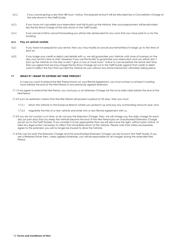- 16.2.1.2. If you cancel giving us less than 48 hours' notice, the prepaid amount will be refunded less a Cancellation Charge at the rate shown in the Tariff Guide.
- 16.2.1.3. If you have not cancelled your reservation and fail to pick up the Vehicle, then your prepayment will be refunded less the No Show Charge at the rate shown in the Tariff Guide.
- 16.2.1.4. If we cancel or fail to cancel the booking you will be fully reimbursed for any sums that you have paid to us for the booking.

#### **16.2.2. Pay on arrival rentals**

- 16.2.2.1. If you have not prepaid for your rental, then you may modify or cancel your rental free of charge up to the time of pick up.
- 16.2.2.2. If you lodge your credit or debit card details with us, we will guarantee your Vehicle until close of business on the day your rental is due to start. However, if you use this facility to guarantee your reservation and you either don't pick up the Vehicle on the day or don't give us two or more hours' notice to cancel before the rental start time then you agree that we may charge the No Show Charge set out in the Tariff Guide against that credit or debit card to reflect the fact that we held the Vehicle for you without any rental transaction ultimately taking place.

#### **17 WHAT IF I WANT TO EXTEND MY HIRE PERIOD?**

In case you want to extend the Hire Period shown on your Rental Agreement, you must contact us at least 2 working hours before the end of the Hire Period or any previously agreed extension.

- 17.1 If we agree to extend the Hire Period, you must pay us an Extension Charge (at the local daily rate) before the end of the Hire Period.
- 17.2 If such an extension means that the Hire Period will exceed a period of 35 days, then you must:
	- 17.2.1 return the Vehicle to the Europcar Branch where you picked it up and pay any outstanding amounts due; and
	- 17.2.2 negotiate the hire of a new vehicle and enter into a new Rental Agreement with us.
- 17.3 If you do not contact us in time, or do not pay the Extension Charge, then, we will charge you the daily charge for each day (or part day) that you keep the Vehicle beyond the end of the Hire Period plus an Unauthorised Extension Charge (as set out in the Tariff Guide). If we consider it to be appropriate then we will also have the right, without prior notice, to take any legal action necessary to affect the immediate return of the Vehicle. Please note that unless we expressly agree to the extension you will no longer be insured to drive the Vehicle.
- 17.4 The cost for both the Extension Charge and the Unauthorised Extension Charge can be found in the Tariff Guide. If you are a Referred Driver then, unless agreed otherwise, you will be responsible for all charges during the extended Hire Period.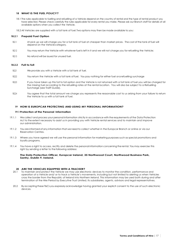#### **18 WHAT IS THE FUEL POLICY?**

- 18.1 The rules applicable to fuelling and refuelling of a Vehicle depend on the country of rental and the type of rental product you have selected. Please check carefully the rules applicable for every rental you make. Please ask our Branch staff for details of all available options when you collect the Vehicle.
- 18.2 All Vehicles are supplied with a full tank of fuel. Two options may then be made available to you:

#### **18.2.1 Prepaid Fuel Option**

- 182.1.1 At pick up we will charge you for a full tank of fuel at cheaper than market prices. The cost of the tank of fuel will depend on the Vehiclecategory.
- 182.12 You may return the Vehicle with whatever fuel is left in it and we will not charge you for refuelling the Vehicle;
- 18.2.1.3 No refund will be issued for unused fuel.

#### **18.2.2 Full to full**

- 18.2.2.1 We provide you with a Vehicle with a full tank of fuel.
- 18.2.2.2 You return the Vehicle with a full tank of fuel. You pay nothing for either fuel ora refuelling surcharge
- 18223 If you have taken up this full to full option and the Vehicle is not returned with a full tank of fuel you will be charged for the missing fuel according to the refuelling rates at the rental location. You will also be subject to a Refuelling Surcharge (see Traiff Guide).
- 18224 You agree that the total amount we charge you represents the reasonable cost to us arising from your failure to return the Vehicle to us with a full tank of fuel.

#### **19 HOW IS EUROPCAR PROTECTING AND USING MY PERSONAL INFORMATION?**

#### **19.1 Protection of the Personal Information**

- 19.1.1 Wecollect and process your personal information strictly in accordance with the requirements of the Data Protection Act to the extent necessary to assist us in providing you with Vehicle rental services and to maintain and improve our administration.
- 19.1.2 You are informed of any information that we need to collect whether in the Europcar Branch or online or via our Reservation Centres.
- 19.1.3 Where you have agreed we will use the personal information for marketing purposes such as special promotions and loyalty programs.
- 19.1.4 You have a right to access, rectify and delete the personal information concerning the rental. You may exercise this right by sending a letter to the following address:

#### **The Data Protection Officer, Europcar Ireland, 35 Northwood Court, Northwood Business Park, Santry, Dublin 9, Ireland.**

### **20 ARE THE VEHICLES EQUIPPED WITH A TRACKER?**<br>20.1 To maintain and protect the Vehicle we may use elect

- 20.1 To maintain and protect the Vehicle we may use electronic devices to monitor the condition, performance and operation of a Vehicle and/ or to track a Vehicle's movements, including but not limited to alerting us when Vehicles cross the border from the Republic of Ireland into Northern Ireland. This information may be used both during and after termination of the Hire Period by Executive Trust Limited, its subsidiaries, agents, advisors and legal representatives.
- 20.2 Byacceptingthese T&Csyou expresslyacknowledge having granted your explicit consent to the use of such electronic devices.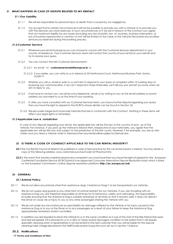#### **21 WHAT HAPPENS IN CASE OF DISPUTE RELATED TO MY RENTAL?**

#### **21.1 Our Liability**

- 21.1.1 We will be responsible for personal injury or death that is caused by our negligence.
- 21.1.2 You accept that in certain circumstances it will not be possible to provide you with a Vehicle or to provide you with the Services you have reserved. In such circumstances or if we are in breach of this Contract you agree that our maximum liability for any losses (including any loss of profits, loss of business, business interruption, or loss of business opportunity) in contract or tort will be limited to the value of the Vehicle hire and/orany ancillary services you reserved during the booking process.

#### **21.2 Customer Service**

- 21.2.1 Wherever your rental tookplace you can choose to consult with the Customer Services department in your country of residence. Your Customer Services team will contact the country of your rental on your behalf and try to resolve your query.
- 21.2.2 You can contact the Irish Customer Services team:
	- 21.2.2.1 by email to **customerservicesie@europcar.ie**; or
	- 21.2.2.2 if you prefer, you can write to us in Ireland at 35 Northwood Court, Northwood Business Park, Santry, Dublin 9.
- 21.2.3 Whether you call us, email or write to us we'll aim to respond to your query or complaint within 10 working days of receiving your communication. If we can't respond in these timescales, we'll tell you why and let you know when we aim to reply to you.
- 21.2.4 If we have to contact you, we will do so by telephone, email or by writing to you at the email address or postal address you provided to us at the time of your booking.
- 21.2.5 If, after you have consulted with our Customer Services team, you have a further dispute regarding your query then you have the right to appeal to the ECRCS whose details can be found in Section 22.
- 21.2.6 Weare under a legal duty to provide Vehiclesthat are in conformity with the Contract. Nothing in these terms will affect your legal rights or remedies).

#### **21.3 Applicable Law & Jurisdiction**

In case of any dispute regarding your rental, the applicable law will be the law of the country of pick- up of the Vehicle. For instance, if you pick up the Vehicle in Ireland then, irrespective of your nationality, you agree that the applicable law will be Irish law and subject to the jurisdiction of the Irish courts. However, if for example, you are an Irish citizen and you hired a Vehicle whilst in Germany then yourrentalwillbe subjectto German law.

#### **22 IS THERE A CODE OF CONDUCT APPLICABLE TO THE CAR RENTAL INDUSTRY?**

- **22.1** The Car Rental Council of Ireland has published a code of best practice for the car rental industry in Ireland. You may obtain a copy at the following address: www.carrentalcouncil.ie/Code+of+Practice.html.
- **22.2** In the event that we are unable to resolve any complaint you may have then you have the right of appeal to the European Car Rental Conciliation Service (ECRCS)which isan approved Consumer Alternative Dispute Resolution body which is listed on the European Commission's online dispute resolution platform **[http://ec.europa.eu/odr.](http://ec.europa.eu/odr)**

#### **23 GENERAL**

#### **23.1 Animal Policy**

- 23.1.1 Wedo not allow any animals other than assistance dogs ('Assistance Dogs') to be transportedin our Vehicles.
- 23.1.2 We do not supply dog guards or any other form of animal restraint for our Vehicles. If you are travelling with an Assistance Dog you are therefore responsible at all times for its behaviour, safety and well-being. This responsibility includes ensuring that the Assistance Dog is suitably restrained at all times so that it remains safe; it does not distract the Driver or cause risk or injury to you or any other passengers sharing the Vehicle with you.
- 23.1.3 Wedo not under any circumstances accept liability for damage suffered by the Vehicle or for injury caused to the Assistance Dog or to you or the Driver or to any passengers as a result of your failure to keep the Assistance Dog appropriately restrained and/or controlled.
- 23.1.4 In addition you are required to return the Vehicle to us in the same condition as it was at the start of the Hire Period (fair wear and tear excepted). If it is returned to us in a dirty or messy and/or damaged condition to the extent that it will require specialist cleaning and/ or repair before it can be rented to the next customer then you will be liable for the special cleaning/valet chargedescribed in the TariffGuide and/orto pay the sums set out in section 12above.

#### **25.2. Notifications**

18 **Terms and Conditions of Hire**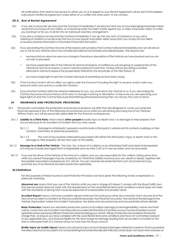All notifications that need to be served on either you or us in regard to your Rental Agreement will be sent to the address indicated in the Rental Agreement unless either of us notifies the other party to the contrary.

#### **25.3. End of Rental Agreement**

- 25.3.1. If you are a consumer we may end the Contract immediately if we discover that any of your belongings havebeen taken away from you topayoff your debts, or a receiving order has been made against you or steps have been taken to make you bankrupt or for you to enter into an individual voluntary arrangement.
- 25.3.2. If you are a company we may end the Contract immediately if you go into any form of insolvency or you call a meeting of creditors or we discover that any of your goods have been taken away from you to pay off your debts or receive adverse information or fraudulent financial information.
- 25.3.3. If you are ending the Contract for one of the reasons set out below the Contract will end immediately and we will refund you in full for any Vehicle which has not been provided or has not been provided properly. The reasons are:
	- wehavetold you about an error ora change in the price or description of the Vehicle you have booked and you do not wish to proceed;
	- we have suspended hire of the Vehicle for technical reasons, or notified you we are going to suspend hire of the Vehicle for technical reasons, in each case for a period of more than 14 days without providing a suitable alternative vehicle to replace the (suspended) Vehicle for the remainder of the Hire Period; or
	- you have a legal right to end the Contract because of something we have done wrong
- 25.3.4. If the Contract ends it will not affect our rights under the Contract including the right to receive and/or claim any amounts which you owe to us under the Contract.
- 25.3.5. If you end the Contract after the Vehicle is delivered to you, you must return the Vehicle to us. If you are ending the Contractbecause wehavetoldyouofan error or change in pricing or description or because you are exercising your legal rights to end the Contractbecauseofsomethingwehavedonewrong then we will pay the costs of return.

#### **24 INSURANCE AND PROTECTION PROVISIONS**

- 24.1 This section summarises the protection and insurance products we offer that are designed to cover your potential financial exposure if any of the following circumstances occur whilst you are renting and using one of our Vehicles. Without them, you will be personally responsible for the financial consequences:
	- 24.1.1 **Liability to a Third Party** which means **other people's** bodily injury or death and / or damage to their property that occurs because of an accident or incident that you may cause.
		- 24.1.1.1 Damagetoathirdparty'sproperty could include a third party's vehicle and its contents, buildings or their contents, machinery or personal possessions.
		- 24.1.1.2 The cost of any business interruptionassociated with either the third party's injury or death and/ or the damage to their property will also form part of this liability.
- 24.1.2 **Damage to or theft of the Vehicle**. This may be a result of a collision or an attempted theft and need to be repaired or it may be so badly damaged that it is irreparable and we write it off; or it may be stolen and not recovered
- 24.1.3 If you are the driver of the Vehicle at the time of a collision and you are responsible for the collision taking place then whilst any injured Passengers may be covered by our Third-Party Liability insurance your own death or injuries, together with the possible associated consequences of it, will not. You can, however, be protected from such circumstances if you purchase any of our Personal Accident protections separately.

#### **24.2 Definitions**

For the purposes of these Insurance and Protection Provisions we have given the following words or expressions a particular meaning:

**Abnormal use** means that your use of the Vehicle whilst you are in charge of it doesn't comply with the Road Traffic laws that prevail and/or does not meet with the requirements of the Local Rental terms and conditions and/or does not meet with the standards of driving that would be expected of a reasonable and prudent driver

**Accident Report** means a full and complete signed statement (including any other document(s)) which records all of the facts of an accident or incident as they occurred (for example, how the event occurred, the nature of the damage to the Vehicle, the location where the incident took place, the dates and circumstances and any potential witness details)

**Basic Protection** means our standard protection productsof collision damage (ordamage liability) waiver and theft waiver covers that are included inrentalsunlessyouselectedtheUSAorCanada asyourcountryofresidenceand optedforarate exclusiveofBasicProtectionwhenbookingyour rental. IfBasicProtection isincludedintherental charge then, as long as you have complied with the Local Rental terms and conditions and have not committed a breach of any applicable laws, your financial liability for the total charge for damage resulting from an accident or incident or the theft or attempted theft of a Vehicle will be no more than the Excess amount

**Bodily Injury (or bodily injury)** means any physical injury or psychological damage suffered by a person thatiscausedas the direct result of an accident; it is not something that is intentionally self-inflicted, and it does not result from sickness or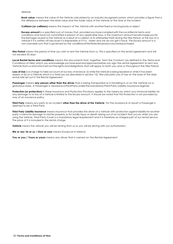**Book value:** means the value of the Vehicle calculated by an industry recognised system which provides a figure that is the difference between the retail value and the trade value of the Vehicle at the time of the incident.

**Collision (or collision)** means the impact of the Vehicle with another fixed or moving body or object

**Excess amount** is a specified sum of money that, provided you have complied with the Local Rental terms and conditions and have not committed a breach of any applicable laws, is the maximum amount wewillchargeyoufor thedamagecaused to the Vehicle as a result of a collision or its attempted theft during the Hire Period; or the loss of a Vehicle if it is written off because it is irreparable or if it is stolen and we do not get it back. The Excess amount is a non-waivable sum that is governed by the conditions of the Protection productyou have purchased.

**Hire Period** means the period of time you wish to rent the Vehicle from us. This is specified on the rental agreement and will not exceed 35 days

**Local Rental terms and conditions** means the documents that, together, form the Contract (as defined in the Terms and Conditions of Hire) which you acknowledge you have read and approved before you sign the rental agreement to rent any Vehicle from us and which set out the rights and obligations that will apply to both you and us throughout the Hire Period

Loss of Use is a charge to take account of our loss of revenue: (i) while the Vehicle is being repaired or while it has been seized; or (ii) on a Vehicle which is a Total Loss (as described in section 12). We calculate Loss of Use on the basis of the daily rental rate set out in the Rental Agreement

**Passenger** means **any person other than the driver** that is being transported or is travelling in or on the Vehicle on a gratuitous basis. A Passenger is viewed as a Third Party under the mandatory Third-Party Liability insurance regimes

Protection (or protection) in these Insurance and Protection Provisions applies to the means by which your financial liability for any damage to or loss of a Vehicle is limited to the Excess amount. It should be noted that this Protection is not provided by way of an insurance policy

**Third Party** means any party to an incident **other than the driver of the Vehicle**. For the avoidance of doubt a Passenger is deemed to be a Third Party

**Third Party Liability insurance** means insurance that provides the driver of a Vehicle with protection against liability for another party's claimsfor damage to his/her property or for bodily injury or death arising out of an incident that occurs whilst you are using the Vehicle. Third Party Cover is a mandatory legal requirement and it is therefore an integral part of our rental service. The price of it is included in the rental charge.

**Vehicle** means the vehicle you will be renting from us or you will be driving with our authorisation.

**We or we/ Us or us / Ours or ours** means Europcar in Ireland.

**You or you / Yours or yours** means any driver that is named on the Rental Agreement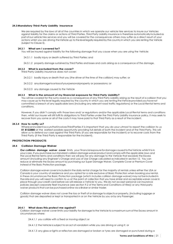#### **24.3 Mandatory Third-Party Liability Insurance**

We are required by the laws of all of the countries in which we operate our vehicle hire services to insure our Vehicles against liability for the claims or actions of Third Parties. Third Party Liability insurance is therefore automatically includedas partofour vehicle hire services and you will be covered for the consequences others may suffer as a direct result of your actions whilst you are driving the Vehicle up to the level legally required by the country in which you are renting the Vehicle (subject to Clause 5).

#### **24.3.1 What am I covered for?**

You will be insured against liability for the following damage that you cause when you are using the Vehicle:

- 24.3.1.1 bodily injury or death suffered by Third Parties; and
- 24.3.1.2 property damage sustained by Third Parties and losses and costs arising as a consequence of the damage.

#### **24.3.2 What is excluded from the cover?**

Third Party Liability insurance does not cover:

- 24.3.2.1 bodily injury or death that you (the driver at the time of the collision) may suffer; or
- 24.3.2.2 anydamagetoorlossofyourpersonalproperty or possessions; or
- 24.3.2.3 any damage caused to the Vehicle

#### **24.3.3 What is the amount of my financial exposure for Third Party Liability?**

You will be covered for the sums owed as a consequence of any Third Party Liability arising as the result of a collision that you may cause up to the level legally required by the country in which you are renting the Vehicle provided you have not committed a breach of any applicable laws (including any relevant road traffic regulations) or the Local Rental terms and conditions.

However, if you didn't comply with those laws and/ or regulations and/or the applicable Local Rental terms and conditions then, whilst our insurer will still fulfil its obligations to Third Parties under the Third Party Liability insurance policy, it may seek to recover from you some or all of the costs it may have paid to that Third Party as a result of the incident.

#### **24.3.4 How to notify us?**

Where anincident occursthat involves Third Parties it is important that you do your utmost to report the collision to us **01 8122880** at the earliest possible opportunity providing full details of both the incident and of the Third Party. This will allow us to defend our case against the Third Party (if you are responsible for the incident) or to recover costs from the Third Party (if the Third Party is responsible for the incident).

#### **PROTECTION PRODUCTS**

#### **24.4 Collision Damage Waiver**

**Our collision damage waiver cover** limits your financialexposure fordamage caused to the Vehicle whilst it is in your care. If you purchase our standard collision damage waiver product and comply with the applicable laws and the Local Rental terms and conditions then we will pay for any damage to the Vehicle that exceeds the Excess amount (including any Engineer's Charge and Loss of Use Charge calculated as indicated in section 12. You can reduce or eliminate the Excess amount by purchasing our Super Damage Waiver, Complete Cover or Premium Cover instead of the Basic Protection package.

Collision damage waiver cover isincluded in the daily rental charge for the majority of rentals unless either the USA or Canada is your country of residence and you opted for a rate exclusive of Basic Protection when booking your rental. In these circumstances the Basic Protection package (which includes collision damage waiver) may notbeincluded in the rate and you will need to confirm to us at the point of collection that you have similar and acceptable waiver cover in place through your credit card before we will release a Vehicle to you. We do not accept personal car insurance policies (except corporate fleet insurance (see section 9.2 of the Terms and Conditions of Hire)) or any third-party waiver products that can be purchased online via a Broker or similar trader.

Collision damage waiver does not cover the loss or theft of or damage to objects or property, (including luggage or goods) that are deposited or kept or transported in or on the Vehicle by you or by any Passenger.

#### **24.4.1 What does this protect me against?**

Collision damage waiver cover limits your liability for damage to the Vehicle to a maximum sum of the Excess amount in circumstances where:

24.4.1.1 you collide with a fixed or moving object;or

24.4.1.2 the Vehicle issubject to an act of vandalism while you are driving or using it; or

24.4.1.3 any glass or lights or reflectors are damaged or broken or tyres are damaged or punctured during a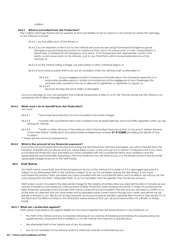collision.

#### **24.4.2 What is excluded from the Protection?**

The Collision Damage Waiver will not operate to limit your liability as set out above in circumstances where the damage to the Vehicle iscaused:

- 24.4.2.1 by the willful acts of the driver;or
- 24.4.2.2 by an explosion or fire in (or to) the Vehicle because you are using it to transport dangerous goods (*dangerous goods being any product or substance that, due to its nature and/ or main characteristics, is reasonably considered to be dangerous and which, if not transported with appropriate caution and safety, could cause harm to the Vehicle, and to any Third Party within a reasonable distance of the Vehicle*); or
- 24.4.2.3 by the Vehicle hitting a bridge, car park barrier or other overhead object; or
- 24.4.2.4 by its total or partial theft or an act of vandalism whilst the Vehicle is left unattended; or
	- 24.4.2.4.1 by your negligence (*which is behaviourthat falls below the standards expected of a reasonably sensible person in similar circumstances*) or the negligence of your Passengers (*for example a fire caused by the use or disposal of cigarettes, e-cigarettes or cigars*); or
	- 24.4.2.4.2 because the keys are lost or stolen or damaged

Loss of or damage to your own property that is being transported or kept in or on the Vehicle during the Hire Period is not covered by the Collision Damage Waiver.

#### **24.4.3 What must I do to benefit from the Protection?**

You must:

- 24.4.3.1 \*\*\* purchase the protection if it is not included in the rental charge;
- 24.4.3.2 \*\*comply with Local Rental terms and conditions and all applicable law and local traffic regulation when you are driving the Vehicle;
- 24.4.3.3 \*\*notify us within 24 hours of the date on which the incident took place and, in any event, before the end of your Hire Period. Notification shouldbemadeontelephone number **01 8122880** providing full details of the incident.
- \*\* these are the minimum requirements.

#### **24.4.4 What is the amount of my financial exposure?**

If you have not purchased this Protection and during the Hire Period the Vehicle is damaged, you will not benefit from the limitation of liability set out above and you will be liable to pay us the sums set out in section 12 above in full. If you have purchased this Protection and, provided you have complied with the Local Rental terms and conditions and the applicablelaw androadtrafficregulations,then the maximum you will have to pay us is the Excess amount plusany other applicable charges asset out in the Tariff Guide.

#### **24.5 Theft Waiver**

Our *theft waiver* cover limits your financial exposure for loss of the Vehicle if it is stolen or if it is damaged because it is subject to an attempted theft or the Vehicle is subject to an act of vandalism during the Hire Period. If you have purchased this product then, provided you have complied with the Local Rental terms and conditions, we will pay for the costs arising from the theft, attempted theft, or act of vandalism that are greater than the Excess amount.

Theft waiver cover is included in the daily rental charge for the majority of rentals unless you selected the USA or Canada as your country of residence and opted for a rate exclusive of Basic Protection when booking your rental. In these circumstances the Basic Protection package (which includes theft waiver cover) will not be included in the rate and you will need to confirm to us at the point of collection that you have similar and acceptable waiver cover in place through your credit card before we will release a Vehicle to you. We do not accept personal car insurance policies (except corporate fleet insurance (see section 9.2 of the Terms and Conditions of Hire)) or any third-party waiver products that can be purchased online via a Broker or similar trader.

#### **24.5.1 What am I protected against?**

Theft waiver cover protects you against liability for any amount greater than the Excess amount in circumstances of:

- the theft of the Vehicle and any Accessories following an occurrence of breaking and entering (*Accessories being any supplementary component that is installed in or on the Vehicle that improves its specification*)
- the attempted theft of the Vehicle and of any Accessories
- any act of vandalism to the Vehicle whilst it is stationary and left unattended by you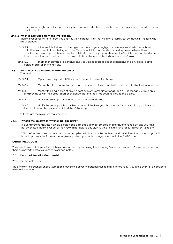• any glass or lights or reflectors that may be damaged orbroken ortyresthataredamagedor punctured as a result of the theft

#### **24.5.2 What is excluded from the Protection?**

Theft waiver cover will not protect you and you will not benefit from the limitation of liability set out above in the following circumstances:

- 24.5.2.1 If the Vehicle is stolen or damaged because of your negligence or more specifically (but without limitation) as a result of keys being left in the Vehicle whilst it is unattended or having been delivered to an unauthorised person; your failure to use the anti-theft system appropriately when the Vehicle is left unattended, any failure by you to return the keys to us or if you left the Vehicle unlocked when you weren't using it;
- 24.5.2.2 Theft of or damage to personal and / or work-related goods or possessions and any goods being transported in or on the Vehicle.

#### **24.5.3 What must I do to benefit from the cover?**

You must:

- 24.5.3.1 \*\*\* purchase the product if this is not included in the rental charge;
- 24.5.3.2 \*\*comply with Local Rental terms and conditions as they apply to the theft or potential theft of a Vehicle
- 24.5.3.3 \*\*notify the local police of any incident or event immediately or as soon as is reasonably practicable and provide us with the police report or evidence that the theft has been notified to the police.
- 24.5.3.4 Notify the pick-up station of the theft andreturn the keys.
- 24.5.3.5 Notify the pick-up station, within 24 hours of the time you discover the Vehicle is missing and forward the keys to us at the place you picked the Vehicle up.

\*\* these are the minimum requirements.

#### 24.5.4 **What is the amount of my financial exposure?**

If, during your rental, the Vehicle is stolen or is damagedinanattempted theftordue to vandalism and you have not purchased theft waiver cover then you will be liable to pay us, in full, the relevant sums set out in section 12 above.

With theft waiver cover, provided you have complied with the Local Rental terms and conditions, the maximum you will have to pay us is the Excess amount plus any other applicable charges as set out in the Tariff Guide.

#### **OTHER PRODUCTS**

You can choose to limit your financial exposure further by purchasing the following Protection products. Please be aware that there are nevertheless exclusions as described below.

#### **25.1 Personal Benefits Membership**

What am I protected for?

The premium for Personal Benefits Membership covers the driver for personal injuries or fatalities up to €31,750 in the event of an accident while in the vehicle.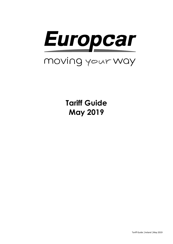

**Tariff Guide May 2019**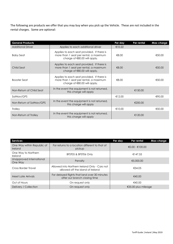The following are products we offer that you may buy when you pick up the Vehicle. These are not included in the rental charges. Some are optional:

| <b>General Products</b>  |                                                                                                                        | Per day | Per rental | Max charge |
|--------------------------|------------------------------------------------------------------------------------------------------------------------|---------|------------|------------|
| <b>Additional Driver</b> | Applies to each additional driver                                                                                      | €10.22  |            |            |
| <b>Baby Seat</b>         | Applies to each seat provided. If there is<br>more than 1 seat per rental, a maximum<br>charge of $€80.00$ will apply. | €8.00   |            | €50.00     |
| Child Seat               | Applies to each seat provided. If there is<br>more than 1 seat per rental, a maximum<br>charge of $€80.00$ will apply. | €8.00   |            | €50.00     |
| <b>Booster Seat</b>      | Applies to each seat provided. If there is<br>more than 1 seat per rental, a maximum<br>charge of $€80.00$ will apply. | €8.00   |            | €50.00     |
| Non-Return of Child Seat | In the event the equipment is not returned,<br>this charge will apply                                                  |         | €150.00    |            |
| SatNav/GPS               |                                                                                                                        | €12.00  |            | €90.00     |
| Non-Return of SatNav/GPS | In the event the equipment is not returned,<br>this charge will apply                                                  |         | €200.00    |            |
| Trolley                  |                                                                                                                        | €10.00  |            | €50.00     |
| Non-Return of Trolley    | In the event the equipment is not returned,<br>this charge will apply                                                  |         | €120.00    |            |

| <b>Services</b>                       |                                                                                    | Per day | Per rental          | Max charge |
|---------------------------------------|------------------------------------------------------------------------------------|---------|---------------------|------------|
| One Way within Republic of<br>Ireland | For returns to a location different to that of<br>pickup                           |         | $€0.00 - €100.00$   |            |
| One Way to Northern<br><b>Ireland</b> | BFST05 & BFST06 Only                                                               |         | €147.55             |            |
| Unapproved International<br>One Way   | Penalty                                                                            |         | €5,000.00           |            |
| Cross Border Travel                   | Allowed into Northern Ireland Only - Cars not<br>allowed off the island of Ireland |         | €34.05              |            |
| Meet Late Arrivals                    | For delayed flights that land over 30 minutes<br>after our branch closing time     |         | €40.00              |            |
| Out of Hours                          | On request only                                                                    |         | €40.00              |            |
| Delivery / Collection                 | On request only                                                                    |         | €35.00 plus mileage |            |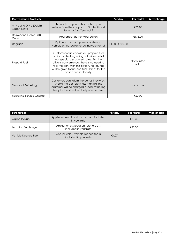| <b>Convenience Products</b>               |                                                                                                                                                                                                                                                                                                        | Per day           | Per rental         | <b>Max charge</b> |
|-------------------------------------------|--------------------------------------------------------------------------------------------------------------------------------------------------------------------------------------------------------------------------------------------------------------------------------------------------------|-------------------|--------------------|-------------------|
| Arrive and Drive (Dublin<br>Airport Only) | This applies if you wish to collect your<br>vehicle from the car park at Dublin Airport<br>Terminal 1 or Terminal 2                                                                                                                                                                                    |                   | €35.00             |                   |
| Deliver and Collect (TUI<br>Only)         | Houseboat delivery/collection                                                                                                                                                                                                                                                                          |                   | €175.00            |                   |
| Upgrade                                   | Optional charge if you upgrade your<br>vehicle on collection or during your rental                                                                                                                                                                                                                     | $€1.00 - €300.00$ |                    |                   |
| Prepaid Fuel                              | Customers can choose our prepaid fuel<br>option at the beginning of their rental at<br>our special discounted rates. For the<br>driver's convenience, there is no need to<br>refill the car. With this option, no refunds<br>will be given for unused fuel. Prices for this<br>option are set locally. |                   | discounted<br>rate |                   |
| <b>Standard Refuelling</b>                | Customers can return the car as they wish.<br>Should the car return less than full, the<br>customer will be charged a local refuelling<br>fee plus the standard fuel price per litre.                                                                                                                  |                   | local rate         |                   |
| Refuelling Service Charge                 |                                                                                                                                                                                                                                                                                                        |                   | €20.00             |                   |

| <b>Surcharges</b>   |                                                                | Per day | Per rental | Max charge |
|---------------------|----------------------------------------------------------------|---------|------------|------------|
| Airport Pickup      | Applies unless airport surcharge is included<br>in your rate   |         | €28.38     |            |
| Location Surcharge  | Applies unless location surcharge is<br>included in your rate  |         | €28.38     |            |
| Vehicle Licence Fee | Applies unless vehicle licence fee is<br>included in your rate | €4.07   |            |            |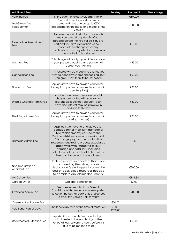| <b>Additional Fees</b>                    |                                                                                                                                                                                                                                                                                                                                                                                                               | Per day             | Per rental | Max charge |
|-------------------------------------------|---------------------------------------------------------------------------------------------------------------------------------------------------------------------------------------------------------------------------------------------------------------------------------------------------------------------------------------------------------------------------------------------------------------|---------------------|------------|------------|
| <b>Valeting Fee</b>                       | In the event of excessively dirty interior                                                                                                                                                                                                                                                                                                                                                                    |                     | €100.00    |            |
| Lost/Stolen Key<br>Replacement            | The cost to replace lost, stolen or<br>damaged keys can be up to €500<br>depending on the make and model of the<br>Vehicle                                                                                                                                                                                                                                                                                    |                     | €500.00    |            |
| Reservation Amendment<br>Fee              | To cover our administration costs each<br>time you amend any details of your<br>booking before the Hire Period is due to<br>start and you give us less than 48 hours'<br>notice of the change or for any<br>modifications you may wish to make once<br>the Hire Period has started                                                                                                                            |                     | €10.00     |            |
| No Show Fee                               | This charge will apply if you did not cancel<br>your pre-paid booking and you do not<br>collect your Vehicle                                                                                                                                                                                                                                                                                                  |                     | €95.00     |            |
| <b>Cancellation Fee</b>                   | This charge will be made if you tell us you<br>wish to cancel your prepaid booking, but<br>you give us less than 48 hours' notice                                                                                                                                                                                                                                                                             |                     | €50.00     |            |
| Fine Admin Fee                            | Applies if we have to provide your details<br>to any third parties (for example for unpaid<br>speeding fines)                                                                                                                                                                                                                                                                                                 |                     | €30.00     |            |
| <b>Unpaid Charges Admin Fee</b>           | Applies if we have to recover unpaid<br>charges associated with your rental.<br>Reasonable legal fees, statutory court<br>costs and interest may be payable in<br>addition to this fee                                                                                                                                                                                                                        |                     | €30.00     |            |
| Third Party Admin Fee                     | Applies if we have to provide your details<br>to any third parties (for example for unpaid<br>parking charges)                                                                                                                                                                                                                                                                                                |                     | €30.00     |            |
| Damage Admin Fee                          | Applies if we have to charge you for<br>damage (other than light damage or<br>tyre replacements) caused to the<br>Vehicle whilst you are in possession of it.<br>This charge pays for the back-office<br>resources required to process associated<br>paperwork with respect to serious<br>damage and total loss, including<br>calculation of the applicable Loss of Use<br>Fee and liaison with the engineer. |                     | tbd        |            |
| Non-Declaration of<br><b>Accident Fee</b> | In the event of an accident that is not<br>reported by the driver, a non-<br>declaration fee will apply to cover the<br>cost of back office resources needed<br>to complete any claims documents                                                                                                                                                                                                              |                     | €200.00    |            |
| <b>AA Callout Fee</b>                     |                                                                                                                                                                                                                                                                                                                                                                                                               |                     | €141.88    |            |
| Carbon Offset                             | Optional donation to                                                                                                                                                                                                                                                                                                                                                                                          |                     | €3.00      |            |
| Overseas Admin Fee                        | Vehicles in breach of our Terms &<br>Conditions will have an admin fee applied<br>to cover the cost of back office resources<br>to track the vehicle until its return                                                                                                                                                                                                                                         |                     | €200.00    |            |
| Overseas Breakdown Fee                    |                                                                                                                                                                                                                                                                                                                                                                                                               | €50.00              |            |            |
| <b>Additional Rental Days</b>             | The local daily rate at the time of rental will<br>apply                                                                                                                                                                                                                                                                                                                                                      | $€1.00-$<br>€200.00 |            |            |
| Unauthorised Extension Fee                | Applies if you don't let us know that you<br>wish to extend the length of your Hire<br>Period at least 2 working hours before it is<br>due to be returned to us                                                                                                                                                                                                                                               |                     | €50.00     |            |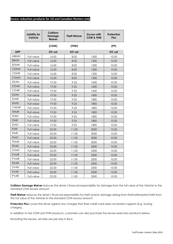#### **Excess reduction products for US and Canadian Renters only**

|             | Liability for<br>Vehicle | Collision<br><b>Damage</b><br><b>Waiver</b> | <b>Theft Waiver</b> | <b>Excess with</b><br><b>CDW &amp; THW</b> | Protection<br><b>Plus</b> |
|-------------|--------------------------|---------------------------------------------|---------------------|--------------------------------------------|---------------------------|
|             |                          | (CDW)                                       | (THW)               |                                            | (PP)                      |
| <b>SIPP</b> |                          | 0% vat                                      | 0% vat              |                                            | 0% vat                    |
| <b>MBMN</b> | Full value               | 16.00                                       | 8.00                | 1500                                       | 10.00                     |
| <b>EBMN</b> | Full value               | 16.00                                       | 8.00                | 1500                                       | 10.00                     |
| <b>EDMN</b> | Full value               | 16.00                                       | 8.00                | 1500                                       | 10.00                     |
| <b>CDMN</b> | Full value               | 16.00                                       | 8.00                | 1500                                       | 10.00                     |
| <b>CDMR</b> | Full value               | 16.00                                       | 8.00                | 1500                                       | 10.00                     |
| <b>CDMD</b> | Full value               | 16.00                                       | 8.00                | 1500                                       | 10.00                     |
| <b>EDAN</b> | Full value               | 19.50                                       | 9.25                | 1600                                       | 10.00                     |
| <b>CDAN</b> | Full value               | 19.50                                       | 9.25                | 1600                                       | 10.00                     |
| <b>CDAR</b> | Full value               | 19.50                                       | 9.25                | 1600                                       | 10.00                     |
| <b>IDMN</b> | Full value               | 19.50                                       | 9.25                | 1800                                       | 10.00                     |
| <b>IDMR</b> | Full value               | 19.50                                       | 9.25                | 1800                                       | 10.00                     |
| <b>IDMD</b> | Full value               | 19.50                                       | 9.25                | 1800                                       | 10.00                     |
| <b>CWMR</b> | Full value               | 19.50                                       | 9.25                | 1800                                       | 10.00                     |
| <b>IWMR</b> | Full value               | 19.50                                       | 9.25                | 1800                                       | 10.00                     |
| <b>IDAN</b> | Full value               | 19.50                                       | 9.25                | 1800                                       | 10.00                     |
| <b>IDAR</b> | <b>Full value</b>        | 19.50                                       | 9.25                | 1800                                       | 10.00                     |
| <b>IDAD</b> | Full value               | 19.50                                       | 9.25                | 1800                                       | 10.00                     |
| <b>IFAR</b> | Full value               | 22.00                                       | 11.00               | 2000                                       | 10.00                     |
| <b>IFMR</b> | Full value               | 22.00                                       | 11.00               | 2000                                       | 10.00                     |
| <b>IFMD</b> | Full value               | 22.00                                       | 11.00               | 2000                                       | 10.00                     |
| <b>FDMR</b> | Full value               | 22.00                                       | 11.00               | 2000                                       | 10.00                     |
| <b>FDAR</b> | Full value               | 22.00                                       | 11.00               | 2000                                       | 10.00                     |
| <b>SVMN</b> | Full value               | 22.00                                       | 11.00               | 2500                                       | 10.00                     |
| <b>SVMR</b> | Full value               | 22.00                                       | 11.00               | 2500                                       | 10.00                     |
| <b>PVMR</b> | Full value               | 22.00                                       | 11.00               | 2500                                       | 10.00                     |
| <b>PDAR</b> | Full value               | 22.00                                       | 11.00               | 2500                                       | 10.00                     |
| SVAN        | Full value               | 22.00                                       | 11.00               | 2500                                       | 10.00                     |
| <b>SVAR</b> | Full value               | 22.00                                       | 11.00               | 2500                                       | 10.00                     |
| <b>PVAR</b> | Full value               | 22.00                                       | 11.00               | 2500                                       | 10.00                     |

**Collision Damage Waiver** reduces the driver's financial responsibility for damage from the full value of the Vehicle to the standard CDW excess amount.

**Theft Waiver** reduces the driver's financial responsibility for theft and/or damage arising from theft/attempted theft from the full value of the Vehicle to the standard CDW excess amount.

**Protection Plus** covers the driver against any charges that their credit card does not protect against (e.g. towing charges).

In addition to the CDW and THW products, customers can also purchase the excess reduction products below.

Excluding the excess, all rates are per day in €uro.